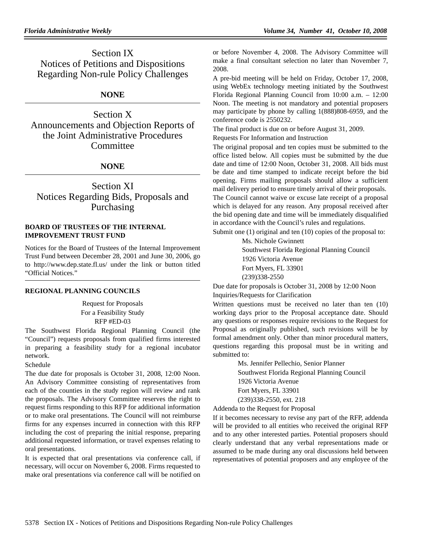Section IX Notices of Petitions and Dispositions Regarding Non-rule Policy Challenges

# **NONE**

Section X Announcements and Objection Reports of the Joint Administrative Procedures Committee

## **NONE**

Section XI Notices Regarding Bids, Proposals and Purchasing

#### **BOARD OF TRUSTEES OF THE INTERNAL IMPROVEMENT TRUST FUND**

Notices for the Board of Trustees of the Internal Improvement Trust Fund between December 28, 2001 and June 30, 2006, go to http://www.dep.state.fl.us/ under the link or button titled "Official Notices."

## **REGIONAL PLANNING COUNCILS**

Request for Proposals For a Feasibility Study RFP #ED-03

The Southwest Florida Regional Planning Council (the "Council") requests proposals from qualified firms interested in preparing a feasibility study for a regional incubator network.

Schedule

The due date for proposals is October 31, 2008, 12:00 Noon. An Advisory Committee consisting of representatives from each of the counties in the study region will review and rank the proposals. The Advisory Committee reserves the right to request firms responding to this RFP for additional information or to make oral presentations. The Council will not reimburse firms for any expenses incurred in connection with this RFP including the cost of preparing the initial response, preparing additional requested information, or travel expenses relating to oral presentations.

It is expected that oral presentations via conference call, if necessary, will occur on November 6, 2008. Firms requested to make oral presentations via conference call will be notified on or before November 4, 2008. The Advisory Committee will make a final consultant selection no later than November 7, 2008.

A pre-bid meeting will be held on Friday, October 17, 2008, using WebEx technology meeting initiated by the Southwest Florida Regional Planning Council from 10:00 a.m. – 12:00 Noon. The meeting is not mandatory and potential proposers may participate by phone by calling 1(888)808-6959, and the conference code is 2550232.

The final product is due on or before August 31, 2009.

Requests For Information and Instruction

The original proposal and ten copies must be submitted to the office listed below. All copies must be submitted by the due date and time of 12:00 Noon, October 31, 2008. All bids must be date and time stamped to indicate receipt before the bid opening. Firms mailing proposals should allow a sufficient mail delivery period to ensure timely arrival of their proposals.

The Council cannot waive or excuse late receipt of a proposal which is delayed for any reason. Any proposal received after the bid opening date and time will be immediately disqualified in accordance with the Council's rules and regulations.

Submit one (1) original and ten (10) copies of the proposal to: Ms. Nichole Gwinnett

Southwest Florida Regional Planning Council 1926 Victoria Avenue Fort Myers, FL 33901 (239)338-2550

Due date for proposals is October 31, 2008 by 12:00 Noon Inquiries/Requests for Clarification

Written questions must be received no later than ten (10) working days prior to the Proposal acceptance date. Should any questions or responses require revisions to the Request for Proposal as originally published, such revisions will be by formal amendment only. Other than minor procedural matters, questions regarding this proposal must be in writing and submitted to:

> Ms. Jennifer Pellechio, Senior Planner Southwest Florida Regional Planning Council 1926 Victoria Avenue Fort Myers, FL 33901 (239)338-2550, ext. 218

Addenda to the Request for Proposal

If it becomes necessary to revise any part of the RFP, addenda will be provided to all entities who received the original RFP and to any other interested parties. Potential proposers should clearly understand that any verbal representations made or assumed to be made during any oral discussions held between representatives of potential proposers and any employee of the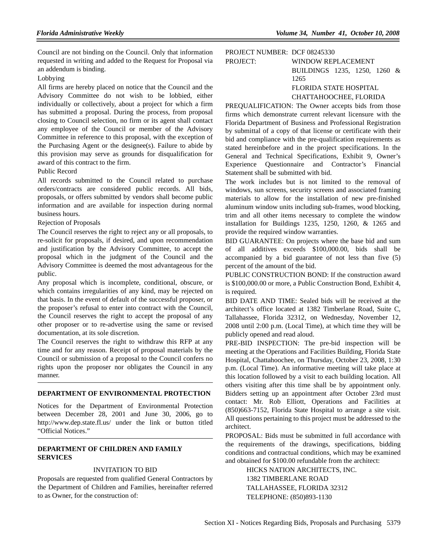Council are not binding on the Council. Only that information requested in writing and added to the Request for Proposal via an addendum is binding.

#### Lobbying

All firms are hereby placed on notice that the Council and the Advisory Committee do not wish to be lobbied, either individually or collectively, about a project for which a firm has submitted a proposal. During the process, from proposal closing to Council selection, no firm or its agent shall contact any employee of the Council or member of the Advisory Committee in reference to this proposal, with the exception of the Purchasing Agent or the designee(s). Failure to abide by this provision may serve as grounds for disqualification for award of this contract to the firm.

#### Public Record

All records submitted to the Council related to purchase orders/contracts are considered public records. All bids, proposals, or offers submitted by vendors shall become public information and are available for inspection during normal business hours.

#### Rejection of Proposals

The Council reserves the right to reject any or all proposals, to re-solicit for proposals, if desired, and upon recommendation and justification by the Advisory Committee, to accept the proposal which in the judgment of the Council and the Advisory Committee is deemed the most advantageous for the public.

Any proposal which is incomplete, conditional, obscure, or which contains irregularities of any kind, may be rejected on that basis. In the event of default of the successful proposer, or the proposer's refusal to enter into contract with the Council, the Council reserves the right to accept the proposal of any other proposer or to re-advertise using the same or revised documentation, at its sole discretion.

The Council reserves the right to withdraw this RFP at any time and for any reason. Receipt of proposal materials by the Council or submission of a proposal to the Council confers no rights upon the proposer nor obligates the Council in any manner.

#### **DEPARTMENT OF ENVIRONMENTAL PROTECTION**

Notices for the Department of Environmental Protection between December 28, 2001 and June 30, 2006, go to http://www.dep.state.fl.us/ under the link or button titled "Official Notices."

## **DEPARTMENT OF CHILDREN AND FAMILY SERVICES**

#### INVITATION TO BID

Proposals are requested from qualified General Contractors by the Department of Children and Families, hereinafter referred to as Owner, for the construction of:

## PROJECT NUMBER: DCF 08245330 PROJECT: WINDOW REPLACEMENT BUILDINGS 1235, 1250, 1260 & 1265 FLORIDA STATE HOSPITAL CHATTAHOOCHEE, FLORIDA

PREQUALIFICATION: The Owner accepts bids from those firms which demonstrate current relevant licensure with the Florida Department of Business and Professional Registration by submittal of a copy of that license or certificate with their bid and compliance with the pre-qualification requirements as stated hereinbefore and in the project specifications. In the General and Technical Specifications, Exhibit 9, Owner's Experience Questionnaire and Contractor's Financial Statement shall be submitted with bid.

The work includes but is not limited to the removal of windows, sun screens, security screens and associated framing materials to allow for the installation of new pre-finished aluminum window units including sub-frames, wood blocking, trim and all other items necessary to complete the window installation for Buildings 1235, 1250, 1260, & 1265 and provide the required window warranties.

BID GUARANTEE: On projects where the base bid and sum of all additives exceeds \$100,000.00, bids shall be accompanied by a bid guarantee of not less than five (5) percent of the amount of the bid.

PUBLIC CONSTRUCTION BOND: If the construction award is \$100,000.00 or more, a Public Construction Bond, Exhibit 4, is required.

BID DATE AND TIME: Sealed bids will be received at the architect's office located at 1382 Timberlane Road, Suite C, Tallahassee, Florida 32312, on Wednesday, November 12, 2008 until 2:00 p.m. (Local Time), at which time they will be publicly opened and read aloud.

PRE-BID INSPECTION: The pre-bid inspection will be meeting at the Operations and Facilities Building, Florida State Hospital, Chattahoochee, on Thursday, October 23, 2008, 1:30 p.m. (Local Time). An informative meeting will take place at this location followed by a visit to each building location. All others visiting after this time shall be by appointment only. Bidders setting up an appointment after October 23rd must contact: Mr. Rob Elliott, Operations and Facilities at (850)663-7152, Florida State Hospital to arrange a site visit. All questions pertaining to this project must be addressed to the architect.

PROPOSAL: Bids must be submitted in full accordance with the requirements of the drawings, specifications, bidding conditions and contractual conditions, which may be examined and obtained for \$100.00 refundable from the architect:

> HICKS NATION ARCHITECTS, INC. 1382 TIMBERLANE ROAD TALLAHASSEE, FLORIDA 32312 TELEPHONE: (850)893-1130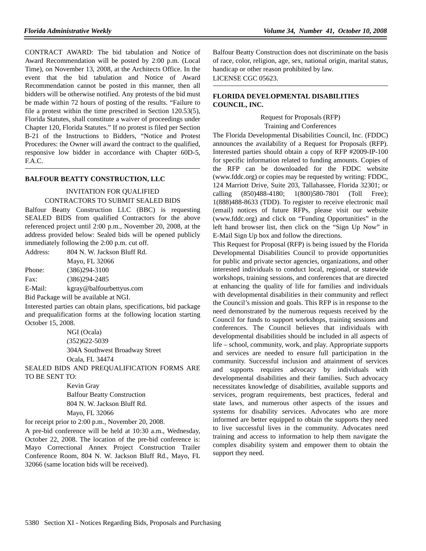CONTRACT AWARD: The bid tabulation and Notice of Award Recommendation will be posted by 2:00 p.m. (Local Time), on November 13, 2008, at the Architects Office. In the event that the bid tabulation and Notice of Award Recommendation cannot be posted in this manner, then all bidders will be otherwise notified. Any protests of the bid must be made within 72 hours of posting of the results. "Failure to file a protest within the time prescribed in Section 120.53(5), Florida Statutes, shall constitute a waiver of proceedings under Chapter 120, Florida Statutes." If no protest is filed per Section B-21 of the Instructions to Bidders, "Notice and Protest Procedures: the Owner will award the contract to the qualified, responsive low bidder in accordance with Chapter 60D-5, F.A.C.

#### **BALFOUR BEATTY CONSTRUCTION, LLC**

## INVITATION FOR QUALIFIED CONTRACTORS TO SUBMIT SEALED BIDS

Balfour Beatty Construction LLC (BBC) is requesting SEALED BIDS from qualified Contractors for the above referenced project until 2:00 p.m., November 20, 2008, at the address provided below: Sealed bids will be opened publicly immediately following the 2:00 p.m. cut off.

| Address:                              | 804 N. W. Jackson Bluff Rd. |
|---------------------------------------|-----------------------------|
|                                       | Mayo, FL 32066              |
| Phone:                                | $(386)294 - 3100$           |
| Fax:                                  | $(386)294 - 2485$           |
| E-Mail:                               | kgray@balfourbettyus.com    |
| Bid Package will be available at NGI. |                             |

Interested parties can obtain plans, specifications, bid package and prequalification forms at the following location starting October 15, 2008.

> NGI (Ocala) (352)622-5039 304A Southwest Broadway Street Ocala, FL 34474

SEALED BIDS AND PREQUALIFICATION FORMS ARE TO BE SENT TO:

> Kevin Gray Balfour Beatty Construction 804 N. W. Jackson Bluff Rd. Mayo, FL 32066

for receipt prior to 2:00 p.m., November 20, 2008.

A pre-bid conference will be held at 10:30 a.m., Wednesday, October 22, 2008. The location of the pre-bid conference is: Mayo Correctional Annex Project Construction Trailer Conference Room, 804 N. W. Jackson Bluff Rd., Mayo, FL 32066 (same location bids will be received).

Balfour Beatty Construction does not discriminate on the basis of race, color, religion, age, sex, national origin, marital status, handicap or other reason prohibited by law. LICENSE CGC 05623.

## **FLORIDA DEVELOPMENTAL DISABILITIES COUNCIL, INC.**

Request for Proposals (RFP) Training and Conferences

The Florida Developmental Disabilities Council, Inc. (FDDC) announces the availability of a Request for Proposals (RFP). Interested parties should obtain a copy of RFP #2009-IP-100 for specific information related to funding amounts. Copies of the RFP can be downloaded for the FDDC website (www.fddc.org) or copies may be requested by writing: FDDC, 124 Marriott Drive, Suite 203, Tallahassee, Florida 32301; or calling (850)488-4180; 1(800)580-7801 (Toll Free); 1(888)488-8633 (TDD). To register to receive electronic mail (email) notices of future RFPs, please visit our website (www.fddc.org) and click on "Funding Opportunities" in the left hand browser list, then click on the "Sign Up Now" in E-Mail Sign Up box and follow the directions.

This Request for Proposal (RFP) is being issued by the Florida Developmental Disabilities Council to provide opportunities for public and private sector agencies, organizations, and other interested individuals to conduct local, regional, or statewide workshops, training sessions, and conferences that are directed at enhancing the quality of life for families and individuals with developmental disabilities in their community and reflect the Council's mission and goals. This RFP is in response to the need demonstrated by the numerous requests received by the Council for funds to support workshops, training sessions and conferences. The Council believes that individuals with developmental disabilities should be included in all aspects of life – school, community, work, and play. Appropriate supports and services are needed to ensure full participation in the community. Successful inclusion and attainment of services and supports requires advocacy by individuals with developmental disabilities and their families. Such advocacy necessitates knowledge of disabilities, available supports and services, program requirements, best practices, federal and state laws, and numerous other aspects of the issues and systems for disability services. Advocates who are more informed are better equipped to obtain the supports they need to live successful lives in the community. Advocates need training and access to information to help them navigate the complex disability system and empower them to obtain the support they need.